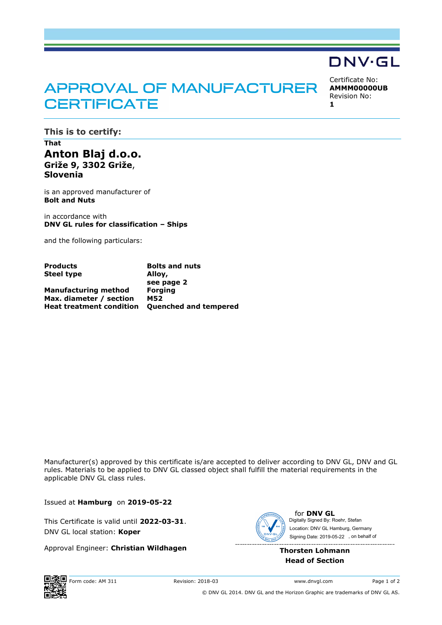## APPROVAL OF MANUFACTURER **CERTIFICATE**

Certificate No: **AMMM00000UB** Revision No:

**DNV·GL** 

**1**

**This is to certify:**

**That Anton Blaj d.o.o. Griže 9, 3302 Griže**, **Slovenia**

is an approved manufacturer of **Bolt and Nuts**

in accordance with **DNV GL rules for classification – Ships**

and the following particulars:

| <b>Products</b>                 | <b>Bolts and nuts</b>        |
|---------------------------------|------------------------------|
| <b>Steel type</b>               | Alloy,                       |
|                                 | see page 2                   |
| <b>Manufacturing method</b>     | <b>Forging</b>               |
| Max. diameter / section         | <b>M52</b>                   |
| <b>Heat treatment condition</b> | <b>Quenched and tempered</b> |

Manufacturer(s) approved by this certificate is/are accepted to deliver according to DNV GL, DNV and GL rules. Materials to be applied to DNV GL classed object shall fulfill the material requirements in the applicable DNV GL class rules.

Issued at **Hamburg** on **2019-05-22**

This Certificate is valid until **2022-03-31**. DNV GL local station: **Koper**

Approval Engineer: **Christian Wildhagen**



for **DNV GL** Signing Date: 2019-05-22 , on behalf ofDigitally Signed By: Roehr, Stefan Location: DNV GL Hamburg, Germany

**Thorsten Lohmann Head of Section**



© DNV GL 2014. DNV GL and the Horizon Graphic are trademarks of DNV GL AS.